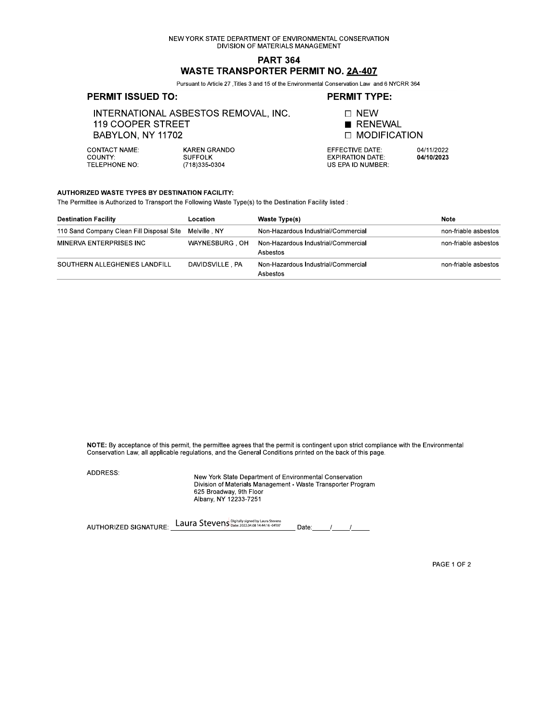NEW YORK STATE DEPARTMENT OF ENVIRONMENTAL CONSERVATION DIVISION OF MATERIALS MANAGEMENT

# **PART 364 WASTE TRANSPORTER PERMIT NO. 2A-407**

Pursuant to Article 27 , Titles 3 and 15 of the Environmental Conservation Law and 6 NYCRR 364

## **PERMIT ISSUED TO:**

#### **PERMIT TYPE:**

INTERNATIONAL ASBESTOS REMOVAL, INC. 119 COOPER STREET BABYLON, NY 11702

**CONTACT NAME:** COUNTY: **TELEPHONE NO:** 

KAREN GRANDO **SUFFOLK** (718) 335-0304



EFFECTIVE DATE: **EXPIRATION DATE:** US EPA ID NUMBER:

04/11/2022 04/10/2023

#### AUTHORIZED WASTE TYPES BY DESTINATION FACILITY:

The Permittee is Authorized to Transport the Following Waste Type(s) to the Destination Facility listed :

| <b>Destination Facility</b>                            | Location        | Waste Type(s)                                   | <b>Note</b>          |
|--------------------------------------------------------|-----------------|-------------------------------------------------|----------------------|
| 110 Sand Company Clean Fill Disposal Site Melville, NY |                 | Non-Hazardous Industrial/Commercial             | non-friable asbestos |
| MINERVA ENTERPRISES INC                                | WAYNESBURG OH   | Non-Hazardous Industrial/Commercial<br>Asbestos | non-friable asbestos |
| SOUTHERN ALLEGHENIES LANDFILL                          | DAVIDSVILLE, PA | Non-Hazardous Industrial/Commercial<br>Asbestos | non-friable asbestos |

NOTE: By acceptance of this permit, the permittee agrees that the permit is contingent upon strict compliance with the Environmental Conservation Law, all applicable regulations, and the General Conditions printed on the back of this page.

ADDRESS:

New York State Department of Environmental Conservation Division of Materials Management - Waste Transporter Program 625 Broadway, 9th Floor Albany, NY 12233-7251

AUTHORIZED SIGNATURE: Laura Stevens Digitally signed by Laura Stevens Date: $\frac{1}{\sqrt{2}}$ 

PAGE 1 OF 2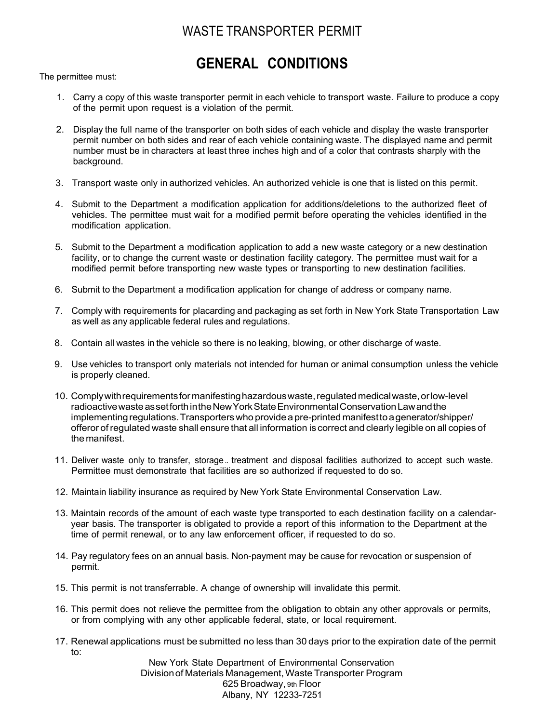# WASTE TRANSPORTER PERMIT

# GENERAL CONDITIONS

The permittee must:

- 1. Carry a copy of this waste transporter permit in each vehicle to transport waste. Failure to produce a copy of the permit upon request is a violation of the permit.
- 2. Display the full name of the transporter on both sides of each vehicle and display the waste transporter permit number on both sides and rear of each vehicle containing waste. The displayed name and permit number must be in characters at least three inches high and of a color that contrasts sharply with the background.
- 3. Transport waste only in authorized vehicles. An authorized vehicle is one that is listed on this permit.
- 4. Submit to the Department a modification application for additions/deletions to the authorized fleet of vehicles. The permittee must wait for a modified permit before operating the vehicles identified in the modification application.
- 5. Submit to the Department a modification application to add a new waste category or a new destination facility, or to change the current waste or destination facility category. The permittee must wait for a modified permit before transporting new waste types or transporting to new destination facilities.
- 6. Submit to the Department a modification application for change of address or company name.
- 7. Comply with requirements for placarding and packaging as set forth in New York State Transportation Law as well as any applicable federal rules and regulations.
- 8. Contain all wastes in the vehicle so there is no leaking, blowing, or other discharge of waste.
- 9. Use vehicles to transport only materials not intended for human or animal consumption unless the vehicle is properly cleaned.
- 10. Comply with requirements for manifesting hazardous waste, regulated medical waste, or low-level radioactive waste as set forth in the New York State Environmental Conservation Law and the implementing regulations. Transporters who provide a pre-printed manifest to a generator/shipper/ offeror of regulated waste shall ensure that all information is correct and clearly legible on all copies of the manifest.
- 11. Deliver waste only to transfer, storage .. treatment and disposal facilities authorized to accept such waste. Permittee must demonstrate that facilities are so authorized if requested to do so.
- 12. Maintain liability insurance as required by New York State Environmental Conservation Law.
- 13. Maintain records of the amount of each waste type transported to each destination facility on a calendaryear basis. The transporter is obligated to provide a report of this information to the Department at the time of permit renewal, or to any law enforcement officer, if requested to do so.
- 14. Pay regulatory fees on an annual basis. Non-payment may be cause for revocation or suspension of permit.
- 15. This permit is not transferrable. A change of ownership will invalidate this permit.
- 16. This permit does not relieve the permittee from the obligation to obtain any other approvals or permits, or from complying with any other applicable federal, state, or local requirement.
- 17. Renewal applications must be submitted no less than 30 days prior to the expiration date of the permit to:

New York State Department of Environmental Conservation Division of Materials Management, Waste Transporter Program 625 Broadway, 9th Floor Albany, NY 12233-7251